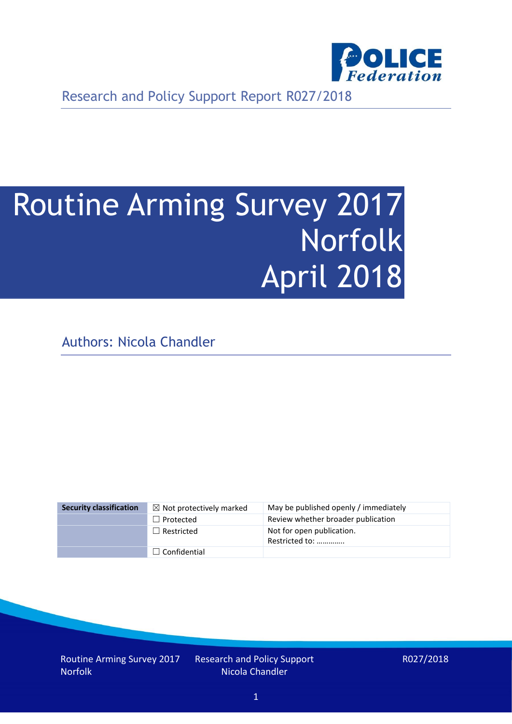

Research and Policy Support Report R027/2018

# Routine Arming Survey 2017 Norfolk April 2018

Authors: Nicola Chandler

| <b>Security classification</b> | $\boxtimes$ Not protectively marked | May be published openly / immediately       |
|--------------------------------|-------------------------------------|---------------------------------------------|
|                                | $\Box$ Protected                    | Review whether broader publication          |
|                                | $\Box$ Restricted                   | Not for open publication.<br>Restricted to: |
|                                | $\Box$ Confidential                 |                                             |

Routine Arming Survey 2017 Norfolk

Research and Policy Support Nicola Chandler

R027/2018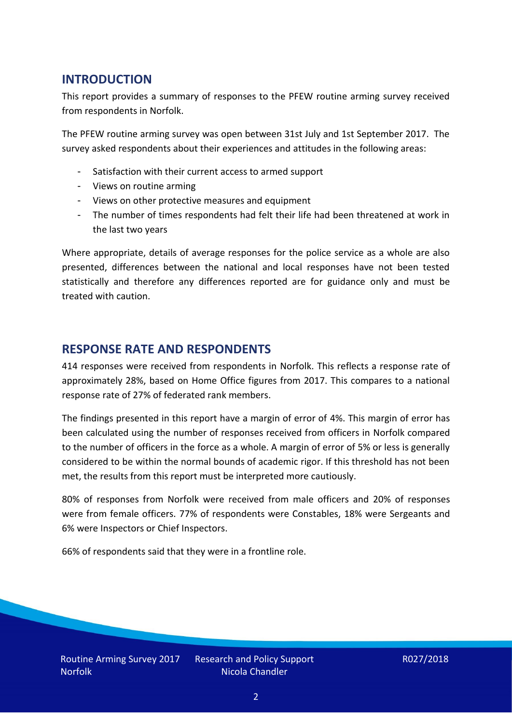## **INTRODUCTION**

This report provides a summary of responses to the PFEW routine arming survey received from respondents in Norfolk.

The PFEW routine arming survey was open between 31st July and 1st September 2017. The survey asked respondents about their experiences and attitudes in the following areas:

- Satisfaction with their current access to armed support
- Views on routine arming
- Views on other protective measures and equipment
- The number of times respondents had felt their life had been threatened at work in the last two years

Where appropriate, details of average responses for the police service as a whole are also presented, differences between the national and local responses have not been tested statistically and therefore any differences reported are for guidance only and must be treated with caution.

#### **RESPONSE RATE AND RESPONDENTS**

414 responses were received from respondents in Norfolk. This reflects a response rate of approximately 28%, based on Home Office figures from 2017. This compares to a national response rate of 27% of federated rank members.

The findings presented in this report have a margin of error of 4%. This margin of error has been calculated using the number of responses received from officers in Norfolk compared to the number of officers in the force as a whole. A margin of error of 5% or less is generally considered to be within the normal bounds of academic rigor. If this threshold has not been met, the results from this report must be interpreted more cautiously.

80% of responses from Norfolk were received from male officers and 20% of responses were from female officers. 77% of respondents were Constables, 18% were Sergeants and 6% were Inspectors or Chief Inspectors.

66% of respondents said that they were in a frontline role.

Research and Policy Support Nicola Chandler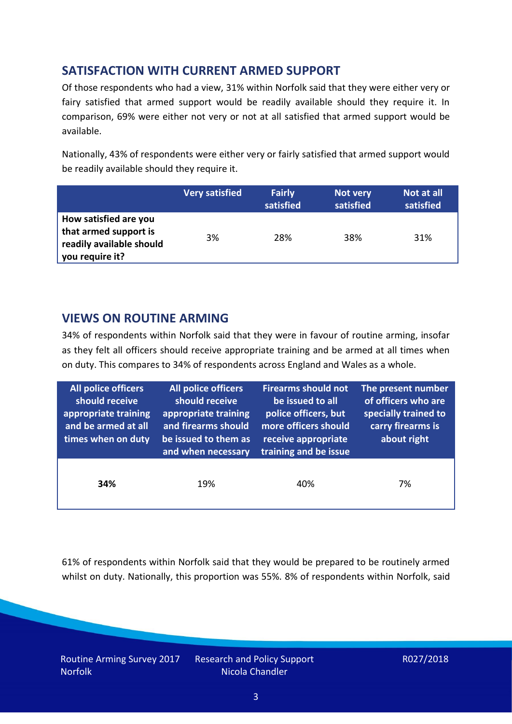## **SATISFACTION WITH CURRENT ARMED SUPPORT**

Of those respondents who had a view, 31% within Norfolk said that they were either very or fairy satisfied that armed support would be readily available should they require it. In comparison, 69% were either not very or not at all satisfied that armed support would be available.

Nationally, 43% of respondents were either very or fairly satisfied that armed support would be readily available should they require it.

|                                                                                               | <b>Very satisfied</b> | <b>Fairly</b><br>satisfied | Not very<br>satisfied | Not at all<br>satisfied |
|-----------------------------------------------------------------------------------------------|-----------------------|----------------------------|-----------------------|-------------------------|
| How satisfied are you<br>that armed support is<br>readily available should<br>you require it? | 3%                    | 28%                        | 38%                   | 31%                     |

## **VIEWS ON ROUTINE ARMING**

34% of respondents within Norfolk said that they were in favour of routine arming, insofar as they felt all officers should receive appropriate training and be armed at all times when on duty. This compares to 34% of respondents across England and Wales as a whole.

| <b>All police officers</b><br>should receive<br>appropriate training<br>and be armed at all<br>times when on duty | All police officers<br>should receive<br>appropriate training<br>and firearms should<br>be issued to them as<br>and when necessary | <b>Firearms should not</b><br>be issued to all<br>police officers, but<br>more officers should<br>receive appropriate<br>training and be issue | The present number<br>of officers who are<br>specially trained to<br>carry firearms is<br>about right |  |
|-------------------------------------------------------------------------------------------------------------------|------------------------------------------------------------------------------------------------------------------------------------|------------------------------------------------------------------------------------------------------------------------------------------------|-------------------------------------------------------------------------------------------------------|--|
| 34%                                                                                                               | 19%                                                                                                                                | 40%                                                                                                                                            | 7%                                                                                                    |  |

61% of respondents within Norfolk said that they would be prepared to be routinely armed whilst on duty. Nationally, this proportion was 55%. 8% of respondents within Norfolk, said

Routine Arming Survey 2017 Norfolk

Research and Policy Support Nicola Chandler

R027/2018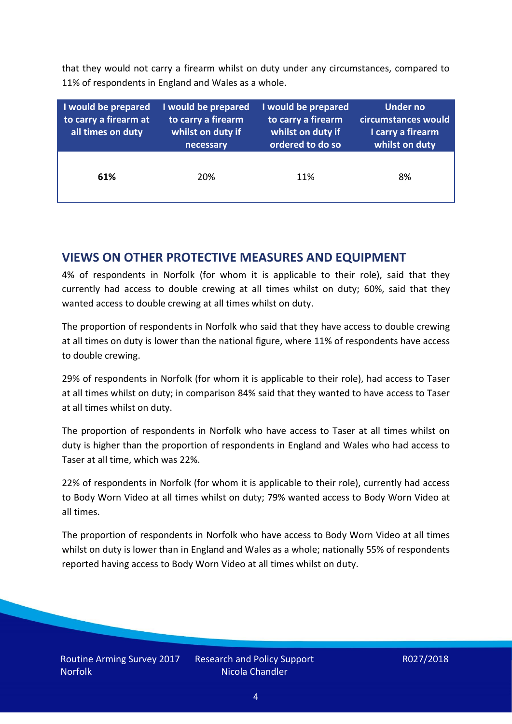that they would not carry a firearm whilst on duty under any circumstances, compared to 11% of respondents in England and Wales as a whole.

| I would be prepared<br>to carry a firearm at<br>all times on duty | I would be prepared<br>to carry a firearm<br>whilst on duty if<br>necessary | I would be prepared<br>to carry a firearm<br>whilst on duty if<br>ordered to do so | <b>Under no</b><br>circumstances would<br>I carry a firearm<br>whilst on duty |
|-------------------------------------------------------------------|-----------------------------------------------------------------------------|------------------------------------------------------------------------------------|-------------------------------------------------------------------------------|
| 61%                                                               | 20%                                                                         | 11%                                                                                | 8%                                                                            |

### **VIEWS ON OTHER PROTECTIVE MEASURES AND EQUIPMENT**

4% of respondents in Norfolk (for whom it is applicable to their role), said that they currently had access to double crewing at all times whilst on duty; 60%, said that they wanted access to double crewing at all times whilst on duty.

The proportion of respondents in Norfolk who said that they have access to double crewing at all times on duty is lower than the national figure, where 11% of respondents have access to double crewing.

29% of respondents in Norfolk (for whom it is applicable to their role), had access to Taser at all times whilst on duty; in comparison 84% said that they wanted to have access to Taser at all times whilst on duty.

The proportion of respondents in Norfolk who have access to Taser at all times whilst on duty is higher than the proportion of respondents in England and Wales who had access to Taser at all time, which was 22%.

22% of respondents in Norfolk (for whom it is applicable to their role), currently had access to Body Worn Video at all times whilst on duty; 79% wanted access to Body Worn Video at all times.

The proportion of respondents in Norfolk who have access to Body Worn Video at all times whilst on duty is lower than in England and Wales as a whole; nationally 55% of respondents reported having access to Body Worn Video at all times whilst on duty.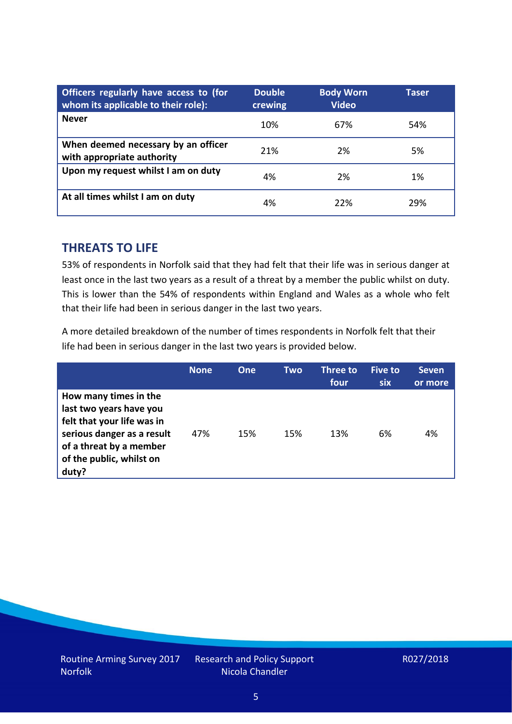| Officers regularly have access to (for<br>whom its applicable to their role): | <b>Double</b><br>crewing | <b>Body Worn</b><br><b>Video</b> | Taser |
|-------------------------------------------------------------------------------|--------------------------|----------------------------------|-------|
| <b>Never</b>                                                                  | 10%                      | 67%                              | 54%   |
| When deemed necessary by an officer<br>with appropriate authority             | 21%                      | 2%                               | 5%    |
| Upon my request whilst I am on duty                                           | 4%                       | 2%                               | 1%    |
| At all times whilst I am on duty                                              | 4%                       | 22%                              | 29%   |

#### **THREATS TO LIFE**

53% of respondents in Norfolk said that they had felt that their life was in serious danger at least once in the last two years as a result of a threat by a member the public whilst on duty. This is lower than the 54% of respondents within England and Wales as a whole who felt that their life had been in serious danger in the last two years.

A more detailed breakdown of the number of times respondents in Norfolk felt that their life had been in serious danger in the last two years is provided below.

|                                                                                                                                                                              | <b>None</b> | One | Two | Three to<br>four | <b>Five to</b><br>six | <b>Seven</b><br>or more |
|------------------------------------------------------------------------------------------------------------------------------------------------------------------------------|-------------|-----|-----|------------------|-----------------------|-------------------------|
| How many times in the<br>last two years have you<br>felt that your life was in<br>serious danger as a result<br>of a threat by a member<br>of the public, whilst on<br>duty? | 47%         | 15% | 15% | 13%              | 6%                    | 4%                      |

Research and Policy Support Nicola Chandler